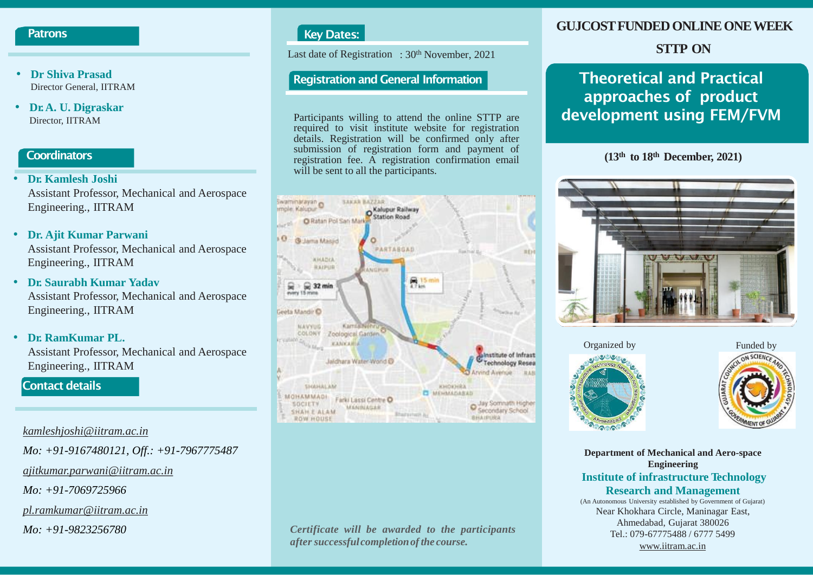#### **Patrons**

- **Dr Shiva Prasad** Director General, IITRAM
- **Dr.A. U. Digraskar** Director, IITRAM

#### **Coordinators**

- **Dr. Kamlesh Joshi** Assistant Professor, Mechanical and Aerospace Engineering., IITRAM
- **Dr. Ajit Kumar Parwani**  Assistant Professor, Mechanical and Aerospace Engineering., IITRAM
- **Dr. Saurabh Kumar Yadav** Assistant Professor, Mechanical and Aerospace Engineering., IITRAM
- **Dr. RamKumar PL.** Assistant Professor, Mechanical and Aerospace Engineering., IITRAM

#### **Contact details**

#### *[kamleshjoshi@iitram.ac.in](mailto:kamleshjoshi@iitram.ac.in)*

*Mo: +91-9167480121, Off.: +91-7967775487*

*[ajitkumar.parwani@iitram.ac.in](mailto:ajitkumar.parwani@iitram.ac.in)*

*Mo: +91-7069725966*

*[pl.ramkumar@iitram.ac.in](mailto:pl.ramkumarl@iitram.ac.in)*

*Mo: +91-9823256780*

# **Key Dates:**

Last date of Registration : 30<sup>th</sup> November, 2021

Participants willing to attend the online STTP are required to visit institute website for registration details. Registration will be confirmed only after submission of registration form and payment of registration fee. A registration confirmation email will be sent to all the participants.



#### *Certificate will be awarded to the participants after successful completionofthe course.*

# **GUJCOST FUNDED ONLINE ONE WEEK**

# **STTP ON**

# **Registration and General Information Theoretical and Practical approaches of product development using FEM/FVM**

**(13th to 18th December, 2021)**







**Department of Mechanical and Aero-space Engineering Institute of infrastructure Technology Research and Management** (An Autonomous University established by Government of Gujarat) Near Khokhara Circle, Maninagar East, Ahmedabad, Gujarat 380026

Tel.: 079-67775488 / 6777 5499 [www.iitram.ac.in](http://www.iitram.ac.in/)